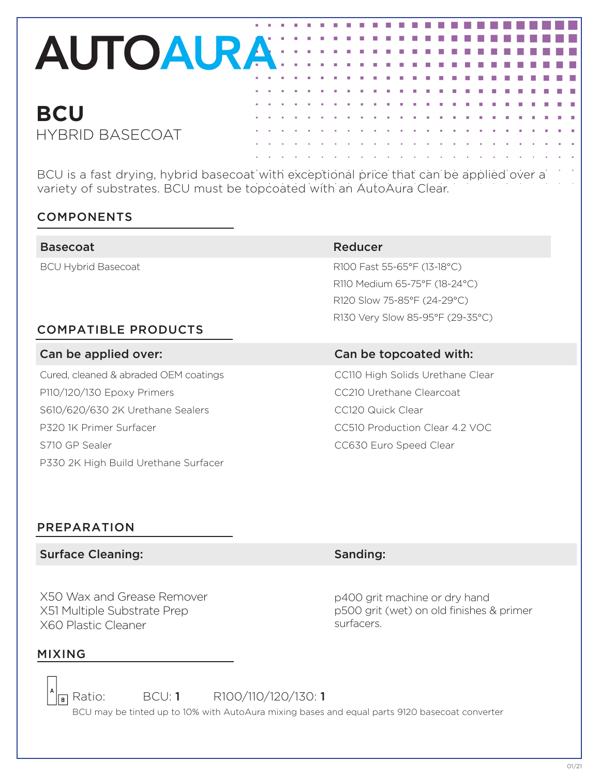## **AUTOAURA:**

### **BCU** HYBRID BASECOAT

BCU is a fast drying, hybrid basecoat with exceptional price that can be applied over a variety of substrates. BCU must be topcoated with an AutoAura Clear.

#### COMPONENTS

| <b>Basecoat</b>                       | Reducer                          |
|---------------------------------------|----------------------------------|
| <b>BCU Hybrid Basecoat</b>            | R100 Fast 55-65°F (13-18°C)      |
|                                       | R110 Medium 65-75°F (18-24°C)    |
|                                       | R120 Slow 75-85°F (24-29°C)      |
|                                       | R130 Very Slow 85-95°F (29-35°C) |
| <b>COMPATIBLE PRODUCTS</b>            |                                  |
| Can be applied over:                  | Can be topcoated with:           |
| Cured, cleaned & abraded OEM coatings | CC110 High Solids Urethane Clear |
|                                       |                                  |
| P110/120/130 Epoxy Primers            | CC210 Urethane Clearcoat         |
| S610/620/630 2K Urethane Sealers      | CC120 Quick Clear                |

S710 GP Sealer CC630 Euro Speed Clear P330 2K High Build Urethane Surfacer

X50 Wax and Grease Remover X51 Multiple Substrate Prep

### Surface Cleaning: Surface Cleaning: Sanding: Sanding:

p400 grit machine or dry hand p500 grit (wet) on old finishes & primer surfacers.

### MIXING

PREPARATION

X60 Plastic Cleaner

**B** Ratio: BCU: **1** R100/110/120/130: **1** 

BCU may be tinted up to 10% with AutoAura mixing bases and equal parts 9120 basecoat converter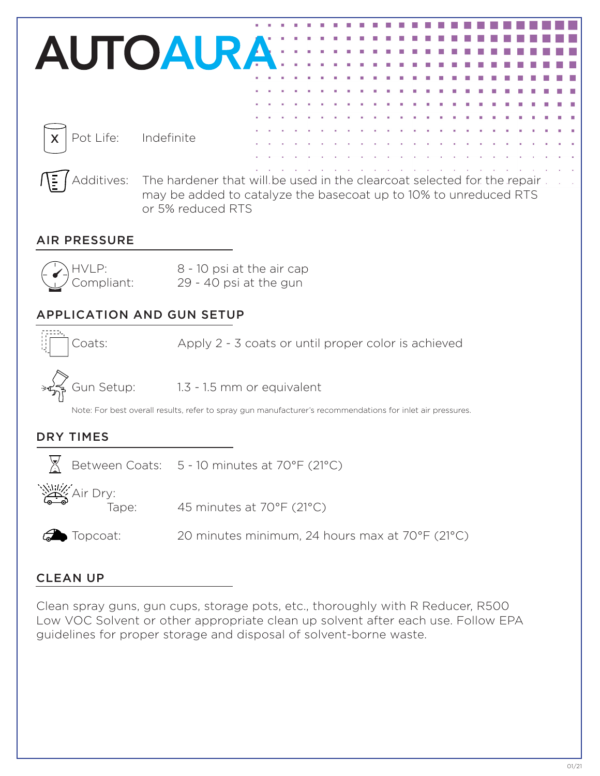

Clean spray guns, gun cups, storage pots, etc., thoroughly with R Reducer, R500 Low VOC Solvent or other appropriate clean up solvent after each use. Follow EPA guidelines for proper storage and disposal of solvent-borne waste.